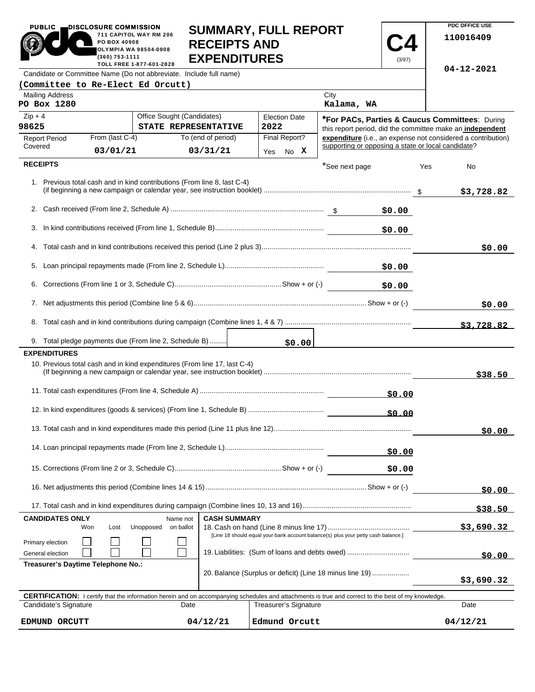|                                                                    | PUBLIC<br><b>DISCLOSURE COMMISSION</b><br><b>SUMMARY, FULL REPORT</b><br>711 CAPITOL WAY RM 206<br><b>RECEIPTS AND</b><br>PO BOX 40908<br><b>OLYMPIA WA 98504-0908</b><br><b>EXPENDITURES</b><br>(360) 753-1111<br>(3/97)<br>TOLL FREE 1-877-601-2828 |                                                                                                                                                            |                                                |                                                          |                                                           |        |                  | FUU UFFIUE USE<br>110016409                                  |  |
|--------------------------------------------------------------------|-------------------------------------------------------------------------------------------------------------------------------------------------------------------------------------------------------------------------------------------------------|------------------------------------------------------------------------------------------------------------------------------------------------------------|------------------------------------------------|----------------------------------------------------------|-----------------------------------------------------------|--------|------------------|--------------------------------------------------------------|--|
| Candidate or Committee Name (Do not abbreviate. Include full name) |                                                                                                                                                                                                                                                       |                                                                                                                                                            |                                                |                                                          |                                                           |        | $04 - 12 - 2021$ |                                                              |  |
| (Committee to Re-Elect Ed Orcutt)                                  |                                                                                                                                                                                                                                                       |                                                                                                                                                            |                                                |                                                          |                                                           |        |                  |                                                              |  |
| <b>Mailing Address</b><br>PO Box 1280                              |                                                                                                                                                                                                                                                       |                                                                                                                                                            |                                                |                                                          | City<br>Kalama, WA                                        |        |                  |                                                              |  |
| $Zip + 4$                                                          |                                                                                                                                                                                                                                                       | Office Sought (Candidates)                                                                                                                                 |                                                | <b>Election Date</b>                                     | *For PACs, Parties & Caucus Committees: During            |        |                  |                                                              |  |
| 98625                                                              |                                                                                                                                                                                                                                                       | STATE REPRESENTATIVE                                                                                                                                       |                                                | 2022                                                     | this report period, did the committee make an independent |        |                  |                                                              |  |
| <b>Report Period</b><br>Covered                                    | From (last C-4)                                                                                                                                                                                                                                       |                                                                                                                                                            | To (end of period)                             | Final Report?                                            | supporting or opposing a state or local candidate?        |        |                  | expenditure (i.e., an expense not considered a contribution) |  |
|                                                                    | 03/01/21                                                                                                                                                                                                                                              |                                                                                                                                                            | 03/31/21                                       | Yes No X                                                 |                                                           |        |                  |                                                              |  |
| <b>RECEIPTS</b>                                                    |                                                                                                                                                                                                                                                       |                                                                                                                                                            |                                                |                                                          | *See next page                                            |        | Yes              | No                                                           |  |
|                                                                    |                                                                                                                                                                                                                                                       | 1. Previous total cash and in kind contributions (From line 8, last C-4)                                                                                   |                                                |                                                          |                                                           |        |                  | \$3,728.82                                                   |  |
|                                                                    | \$0.00                                                                                                                                                                                                                                                |                                                                                                                                                            |                                                |                                                          |                                                           |        |                  |                                                              |  |
|                                                                    | \$0.00                                                                                                                                                                                                                                                |                                                                                                                                                            |                                                |                                                          |                                                           |        |                  |                                                              |  |
|                                                                    |                                                                                                                                                                                                                                                       |                                                                                                                                                            |                                                |                                                          |                                                           |        |                  | \$0.00                                                       |  |
| 5.                                                                 |                                                                                                                                                                                                                                                       |                                                                                                                                                            |                                                |                                                          |                                                           | \$0.00 |                  |                                                              |  |
|                                                                    |                                                                                                                                                                                                                                                       |                                                                                                                                                            |                                                |                                                          |                                                           | \$0.00 |                  |                                                              |  |
|                                                                    |                                                                                                                                                                                                                                                       |                                                                                                                                                            |                                                |                                                          |                                                           |        |                  | \$0.00                                                       |  |
|                                                                    |                                                                                                                                                                                                                                                       |                                                                                                                                                            |                                                |                                                          |                                                           |        |                  | \$3,728.82                                                   |  |
|                                                                    |                                                                                                                                                                                                                                                       | 9. Total pledge payments due (From line 2, Schedule B)                                                                                                     |                                                | \$0.00                                                   |                                                           |        |                  |                                                              |  |
| <b>EXPENDITURES</b>                                                |                                                                                                                                                                                                                                                       |                                                                                                                                                            |                                                |                                                          |                                                           |        |                  |                                                              |  |
|                                                                    |                                                                                                                                                                                                                                                       | 10. Previous total cash and in kind expenditures (From line 17, last C-4)                                                                                  |                                                |                                                          |                                                           |        |                  | \$38.50                                                      |  |
|                                                                    |                                                                                                                                                                                                                                                       |                                                                                                                                                            |                                                |                                                          |                                                           | \$0.00 |                  |                                                              |  |
|                                                                    |                                                                                                                                                                                                                                                       |                                                                                                                                                            |                                                |                                                          |                                                           | \$0.00 |                  |                                                              |  |
|                                                                    |                                                                                                                                                                                                                                                       |                                                                                                                                                            |                                                |                                                          |                                                           |        |                  | \$0.00                                                       |  |
|                                                                    |                                                                                                                                                                                                                                                       |                                                                                                                                                            |                                                |                                                          | \$0.00                                                    |        |                  |                                                              |  |
|                                                                    |                                                                                                                                                                                                                                                       |                                                                                                                                                            |                                                |                                                          |                                                           | \$0.00 |                  |                                                              |  |
|                                                                    |                                                                                                                                                                                                                                                       |                                                                                                                                                            |                                                |                                                          |                                                           |        |                  | \$0.00                                                       |  |
|                                                                    |                                                                                                                                                                                                                                                       |                                                                                                                                                            |                                                |                                                          |                                                           |        |                  | \$38.50                                                      |  |
| <b>CANDIDATES ONLY</b>                                             |                                                                                                                                                                                                                                                       | Name not                                                                                                                                                   | <b>CASH SUMMARY</b>                            |                                                          |                                                           |        |                  |                                                              |  |
|                                                                    | Lost<br>Won                                                                                                                                                                                                                                           | Unopposed<br>on ballot                                                                                                                                     |                                                |                                                          |                                                           |        |                  | \$3,690.32                                                   |  |
| Primary election                                                   | [Line 18 should equal your bank account balance(s) plus your petty cash balance.]                                                                                                                                                                     |                                                                                                                                                            |                                                |                                                          |                                                           |        |                  |                                                              |  |
| General election                                                   |                                                                                                                                                                                                                                                       |                                                                                                                                                            | 19. Liabilities: (Sum of loans and debts owed) |                                                          |                                                           |        | \$0.00           |                                                              |  |
| Treasurer's Daytime Telephone No.:                                 |                                                                                                                                                                                                                                                       |                                                                                                                                                            |                                                | 20. Balance (Surplus or deficit) (Line 18 minus line 19) |                                                           |        |                  | \$3,690.32                                                   |  |
|                                                                    |                                                                                                                                                                                                                                                       | <b>CERTIFICATION:</b> I certify that the information herein and on accompanying schedules and attachments is true and correct to the best of my knowledge. |                                                |                                                          |                                                           |        |                  |                                                              |  |
| Candidate's Signature                                              |                                                                                                                                                                                                                                                       | Date                                                                                                                                                       |                                                | Treasurer's Signature                                    |                                                           |        |                  | Date                                                         |  |

**SUMMARY, FULL REPORT** 

**PDC OFFICE USE** 

PUBLIC **DISCLOSURE COMMISSION** 

 $04/12/21$ **EDMUND ORCUTT 04/12/21 Edmund Orcutt 04/12/21**